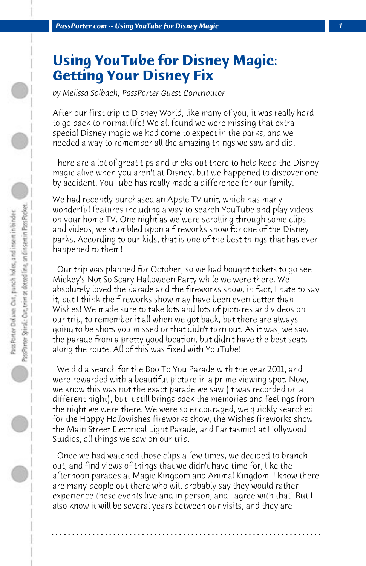## **Using YouTube for Disney Magic: Getting Your Disney Fix**

*by Melissa Solbach, PassPorter Guest Contributor*

After our first trip to Disney World, like many of you, it was really hard to go back to normal life! We all found we were missing that extra special Disney magic we had come to expect in the parks, and we needed a way to remember all the amazing things we saw and did.

There are a lot of great tips and tricks out there to help keep the Disney magic alive when you aren't at Disney, but we happened to discover one by accident. YouTube has really made a difference for our family.

We had recently purchased an Apple TV unit, which has many wonderful features including a way to search YouTube and play videos on your home TV. One night as we were scrolling through some clips and videos, we stumbled upon a fireworks show for one of the Disney parks. According to our kids, that is one of the best things that has ever happened to them!

 Our trip was planned for October, so we had bought tickets to go see Mickey's Not So Scary Halloween Party while we were there. We absolutely loved the parade and the fireworks show, in fact, I hate to say it, but I think the fireworks show may have been even better than Wishes! We made sure to take lots and lots of pictures and videos on our trip, to remember it all when we got back, but there are always going to be shots you missed or that didn't turn out. As it was, we saw the parade from a pretty good location, but didn't have the best seats along the route. All of this was fixed with YouTube!

 We did a search for the Boo To You Parade with the year 2011, and were rewarded with a beautiful picture in a prime viewing spot. Now, we know this was not the exact parade we saw (it was recorded on a different night), but it still brings back the memories and feelings from the night we were there. We were so encouraged, we quickly searched for the Happy Hallowishes fireworks show, the Wishes fireworks show, the Main Street Electrical Light Parade, and Fantasmic! at Hollywood Studios, all things we saw on our trip.

 Once we had watched those clips a few times, we decided to branch out, and find views of things that we didn't have time for, like the afternoon parades at Magic Kingdom and Animal Kingdom. I know there are many people out there who will probably say they would rather experience these events live and in person, and I agree with that! But I also know it will be several years between our visits, and they are

**. . . . . . . . . . . . . . . . . . . . . . . . . . . . . . . . . . . . . . . . . . . . . . . . . . . . . . . . . . . . . . . . . .**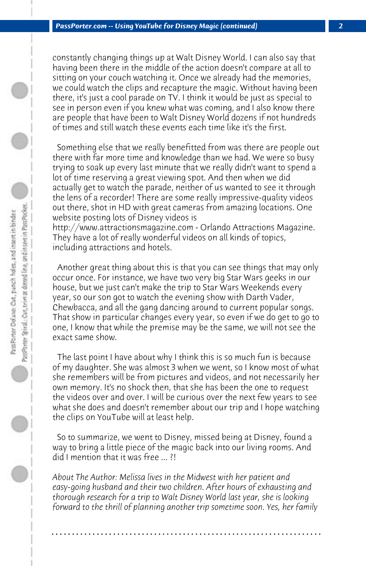constantly changing things up at Walt Disney World. I can also say that having been there in the middle of the action doesn't compare at all to sitting on your couch watching it. Once we already had the memories, we could watch the clips and recapture the magic. Without having been there, it's just a cool parade on TV. I think it would be just as special to see in person even if you knew what was coming, and I also know there are people that have been to Walt Disney World dozens if not hundreds of times and still watch these events each time like it's the first.

 Something else that we really benefitted from was there are people out there with far more time and knowledge than we had. We were so busy trying to soak up every last minute that we really didn't want to spend a lot of time reserving a great viewing spot. And then when we did actually get to watch the parade, neither of us wanted to see it through the lens of a recorder! There are some really impressive-quality videos out there, shot in HD with great cameras from amazing locations. One website posting lots of Disney videos is http://www.attractionsmagazine.com - Orlando Attractions Magazine. They have a lot of really wonderful videos on all kinds of topics,

including attractions and hotels.

 Another great thing about this is that you can see things that may only occur once. For instance, we have two very big Star Wars geeks in our house, but we just can't make the trip to Star Wars Weekends every year, so our son got to watch the evening show with Darth Vader, Chewbacca, and all the gang dancing around to current popular songs. That show in particular changes every year, so even if we do get to go to one, I know that while the premise may be the same, we will not see the exact same show.

 The last point I have about why I think this is so much fun is because of my daughter. She was almost 3 when we went, so I know most of what she remembers will be from pictures and videos, and not necessarily her own memory. It's no shock then, that she has been the one to request the videos over and over. I will be curious over the next few years to see what she does and doesn't remember about our trip and I hope watching the clips on YouTube will at least help.

 So to summarize, we went to Disney, missed being at Disney, found a way to bring a little piece of the magic back into our living rooms. And did I mention that it was free ... ?!

*About The Author: Melissa lives in the Midwest with her patient and easy-going husband and their two children. After hours of exhausting and thorough research for a trip to Walt Disney World last year, she is looking forward to the thrill of planning another trip sometime soon. Yes, her family*

**. . . . . . . . . . . . . . . . . . . . . . . . . . . . . . . . . . . . . . . . . . . . . . . . . . . . . . . . . . . . . . . . . .**